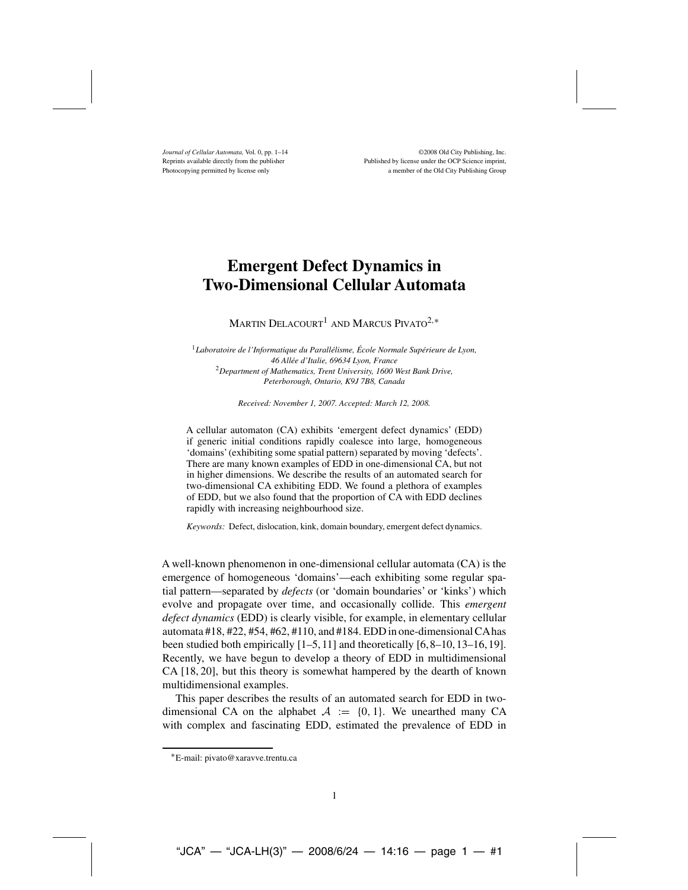*Journal of Cellular Automata*, Vol. 0, pp. 1–14 ©2008 Old City Publishing, Inc.<br>
Reprints available directly from the publisher Published by license under the OCP Science imprint. Published by license under the OCP Science imprint. Photocopying permitted by license only a member of the Old City Publishing Group

# **Emergent Defect Dynamics in Two-Dimensional Cellular Automata**

MARTIN DELACOURT<sup>1</sup> AND MARCUS PIVATO<sup>2,\*</sup>

<sup>1</sup>*Laboratoire de l'Informatique du Parallélisme, École Normale Supérieure de Lyon, 46 Allée d'Italie, 69634 Lyon, France* <sup>2</sup>*Department of Mathematics, Trent University, 1600 West Bank Drive, Peterborough, Ontario, K9J 7B8, Canada*

*Received: November 1, 2007. Accepted: March 12, 2008.*

A cellular automaton (CA) exhibits 'emergent defect dynamics' (EDD) if generic initial conditions rapidly coalesce into large, homogeneous 'domains'(exhibiting some spatial pattern) separated by moving 'defects'. There are many known examples of EDD in one-dimensional CA, but not in higher dimensions. We describe the results of an automated search for two-dimensional CA exhibiting EDD. We found a plethora of examples of EDD, but we also found that the proportion of CA with EDD declines rapidly with increasing neighbourhood size.

*Keywords:* Defect, dislocation, kink, domain boundary, emergent defect dynamics.

A well-known phenomenon in one-dimensional cellular automata (CA) is the emergence of homogeneous 'domains'—each exhibiting some regular spatial pattern—separated by *defects* (or 'domain boundaries' or 'kinks') which evolve and propagate over time, and occasionally collide. This *emergent defect dynamics* (EDD) is clearly visible, for example, in elementary cellular automata #18, #22, #54, #62, #110, and #184. EDD in one-dimensional CAhas been studied both empirically  $[1–5,11]$  and theoretically  $[6,8–10,13–16,19]$ . Recently, we have begun to develop a theory of EDD in multidimensional CA [18, 20], but this theory is somewhat hampered by the dearth of known multidimensional examples.

This paper describes the results of an automated search for EDD in twodimensional CA on the alphabet  $A := \{0, 1\}$ . We unearthed many CA with complex and fascinating EDD, estimated the prevalence of EDD in

<sup>∗</sup>E-mail: pivato@xaravve.trentu.ca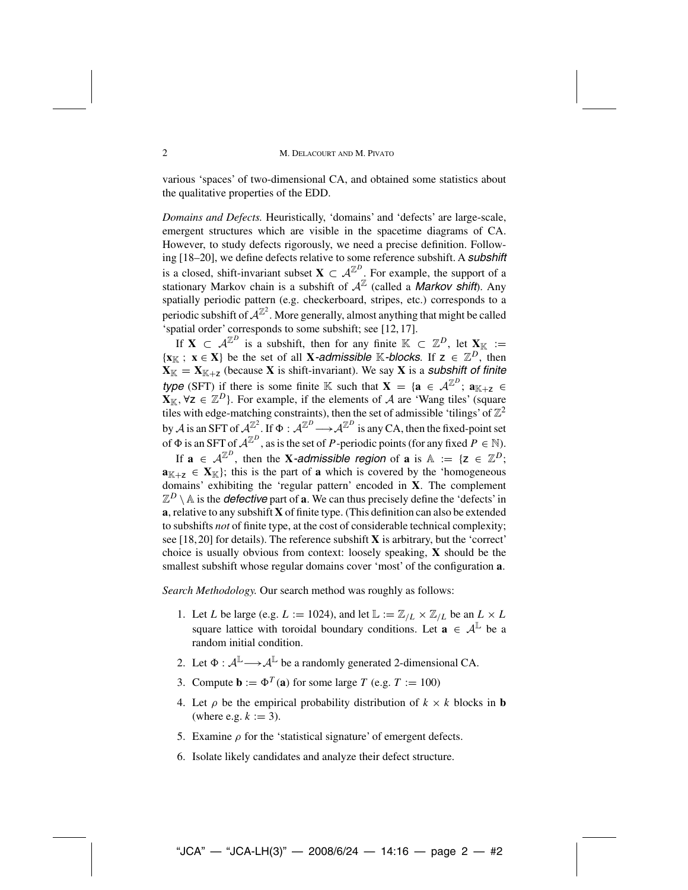### 2 M. DELACOURT AND M. PIVATO

various 'spaces' of two-dimensional CA, and obtained some statistics about the qualitative properties of the EDD.

*Domains and Defects.* Heuristically, 'domains' and 'defects' are large-scale, emergent structures which are visible in the spacetime diagrams of CA. However, to study defects rigorously, we need a precise definition. Following [18–20], we define defects relative to some reference subshift. A *subshift* is a closed, shift-invariant subset  $\mathbf{X} \subset \mathcal{A}^{\mathbb{Z}^D}$ . For example, the support of a stationary Markov chain is a subshift of  $\mathcal{A}^{\mathbb{Z}}$  (called a *Markov shift*). Any spatially periodic pattern (e.g. checkerboard, stripes, etc.) corresponds to a periodic subshift of  $A^{\mathbb{Z}^2}$ . More generally, almost anything that might be called 'spatial order' corresponds to some subshift; see [12, 17].

If **X**  $\subset A^{\mathbb{Z}^D}$  is a subshift, then for any finite  $\mathbb{K} \subset \mathbb{Z}^D$ , let  $\mathbf{X}_{\mathbb{K}} :=$  $\{x_{\mathbb{K}} : x \in X\}$  be the set of all **X***-admissible* K*-blocks*. If  $z \in \mathbb{Z}^D$ , then  $\mathbf{X}_{\mathbb{K}} = \mathbf{X}_{\mathbb{K}+\mathsf{z}}$  (because **X** is shift-invariant). We say **X** is a *subshift of finite type* (SFT) if there is some finite K such that  $\mathbf{X} = {\mathbf{a} \in \mathcal{A}^{\mathbb{Z}^D}}; \mathbf{a}_{K+Z} \in$  $\mathbf{X}_{\mathbb{K}}$ ,  $\forall z \in \mathbb{Z}^D$ }. For example, if the elements of A are 'Wang tiles' (square tiles with edge-matching constraints), then the set of admissible 'tilings' of  $\mathbb{Z}^2$ by A is an SFT of  $A^{\mathbb{Z}^2}$ . If  $\Phi : A^{\mathbb{Z}^D} \longrightarrow A^{\mathbb{Z}^D}$  is any CA, then the fixed-point set<br>of  $\Phi$  is an SET of  $A^{\mathbb{Z}^D}$ , as is the set of *P*, periodio points (for any fixed *P*,  $\in \mathbb{N}$ ). of  $\Phi$  is an SFT of  $\mathcal{A}^{\mathbb{Z}^D}$ , as is the set of *P*-periodic points (for any fixed  $P \in \mathbb{N}$ ).

If  $\mathbf{a} \in \mathcal{A}^{\mathbb{Z}^D}$ , then the **X***-admissible region* of  $\mathbf{a}$  is  $\mathbb{A} := \{ \mathbf{z} \in \mathbb{Z}^D \}$ ;  $\mathbf{a}_{K+z} \in \mathbf{X}_K$ ; this is the part of **a** which is covered by the 'homogeneous' domains' exhibiting the 'regular pattern' encoded in **X**. The complement  $\mathbb{Z}^D \setminus \mathbb{A}$  is the *defective* part of **a**. We can thus precisely define the 'defects' in **a**, relative to any subshift **X** of finite type. (This definition can also be extended to subshifts *not* of finite type, at the cost of considerable technical complexity; see [18,20] for details). The reference subshift **X** is arbitrary, but the 'correct' choice is usually obvious from context: loosely speaking, **X** should be the smallest subshift whose regular domains cover 'most' of the configuration **a**.

*Search Methodology.* Our search method was roughly as follows:

- 1. Let L be large (e.g.  $L := 1024$ ), and let  $\mathbb{L} := \mathbb{Z}_{/L} \times \mathbb{Z}_{/L}$  be an  $L \times L$ square lattice with toroidal boundary conditions. Let  $\mathbf{a} \in \mathcal{A}^{\mathbb{L}}$  be a random initial condition.
- 2. Let  $\Phi : \mathcal{A}^{\mathbb{L}} \longrightarrow \mathcal{A}^{\mathbb{L}}$  be a randomly generated 2-dimensional CA.
- 3. Compute  $\mathbf{b} := \Phi^T(\mathbf{a})$  for some large T (e.g. T := 100)
- 4. Let  $\rho$  be the empirical probability distribution of  $k \times k$  blocks in **b** (where e.g.  $k := 3$ ).
- 5. Examine  $\rho$  for the 'statistical signature' of emergent defects.
- 6. Isolate likely candidates and analyze their defect structure.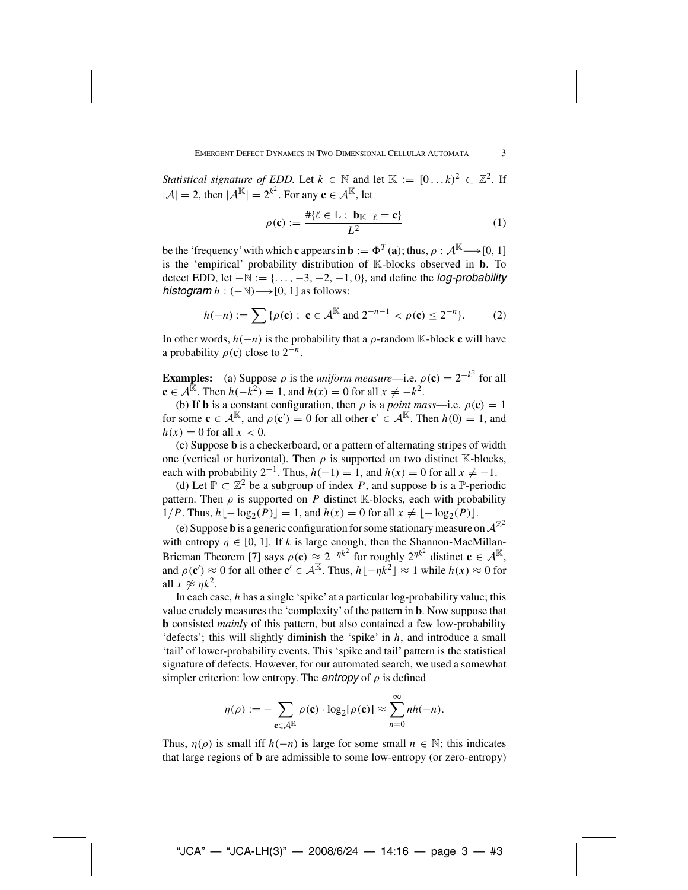*Statistical signature of EDD.* Let  $k \in \mathbb{N}$  and let  $\mathbb{K} := [0...k]^2 \subset \mathbb{Z}^2$ . If  $|\mathcal{A}| = 2$ , then  $|\mathcal{A}^{\mathbb{K}}| = 2^{k^2}$ . For any  $\mathbf{c} \in \mathcal{A}^{\mathbb{K}}$ , let

$$
\rho(\mathbf{c}) := \frac{\# \{ \ell \in \mathbb{L} \; ; \; \mathbf{b}_{\mathbb{K} + \ell} = \mathbf{c} \}}{L^2}
$$
(1)

be the 'frequency' with which **c** appears in **b** :=  $\Phi^T(\mathbf{a})$ ; thus,  $\rho : A^{\mathbb{K}} \longrightarrow [0, 1]$ is the 'empirical' probability distribution of K-blocks observed in **b**. To detect EDD, let <sup>−</sup><sup>N</sup> := {..., <sup>−</sup>3, <sup>−</sup>2, <sup>−</sup>1, <sup>0</sup>}, and define the *log-probability histogram*  $h : (-\mathbb{N}) \longrightarrow [0, 1]$  as follows:

$$
h(-n) := \sum \{ \rho(\mathbf{c}) \; ; \; \mathbf{c} \in \mathcal{A}^{\mathbb{K}} \text{ and } 2^{-n-1} < \rho(\mathbf{c}) \le 2^{-n} \}. \tag{2}
$$

In other words, h(−n) is the probability that a ρ-random <sup>K</sup>-block **<sup>c</sup>** will have a probability  $\rho(c)$  close to  $2^{-n}$ .

**Examples:** (a) Suppose  $\rho$  is the *uniform measure*—i.e.  $\rho(\mathbf{c}) = 2^{-k^2}$  for all  $\mathbf{c} \in A^{\mathbb{K}}$ . Then  $h(-k^2) = 1$  and  $h(x) = 0$  for all  $x \neq -k^2$ .  $\mathbf{c} \in \mathcal{A}^{\mathbb{R}}$ . Then  $h(-k^2) = 1$ , and  $h(x) = 0$  for all  $x \neq -k^2$ .

(b) If **b** is a constant configuration, then  $\rho$  is a *point mass*—i.e.  $\rho(\mathbf{c}) = 1$ for some **c**  $\in$  A<sup>K</sup>, and  $\rho$  (**c**<sup>'</sup>) = 0 for all other **c**<sup>'</sup>  $\in$  A<sup>K</sup>. Then  $h$ (0) = 1, and  $h$ (x) = 0 for all  $x < 0$  $h(x) = 0$  for all  $x < 0$ .

(c) Suppose **b** is a checkerboard, or a pattern of alternating stripes of width one (vertical or horizontal). Then  $\rho$  is supported on two distinct K-blocks, each with probability  $2^{-1}$ . Thus,  $h(-1) = 1$ , and  $h(x) = 0$  for all  $x \neq -1$ .

(d) Let  $\mathbb{P} \subset \mathbb{Z}^2$  be a subgroup of index P, and suppose **b** is a  $\mathbb{P}$ -periodic pattern. Then  $\rho$  is supported on P distinct K-blocks, each with probability 1/P. Thus,  $h \lfloor -\log_2(P) \rfloor = 1$ , and  $h(x) = 0$  for all  $x \neq \lfloor -\log_2(P) \rfloor$ .

(e) Suppose **b** is a generic configuration for some stationary measure on  $\mathcal{A}^{\mathbb{Z}^2}$ with entropy  $\eta \in [0, 1]$ . If k is large enough, then the Shannon-MacMillan-Brieman Theorem [7] says  $\rho(c) \approx 2^{-\eta k^2}$  for roughly  $2^{\eta k^2}$  distinct  $c \in A^{\mathbb{K}}$ ,<br>and  $\rho(c') \approx 0$  for all other  $c' \in A^{\mathbb{K}}$ . Thus,  $|b| - \eta k^2| \approx 1$  while  $h(r) \approx 0$  for and  $\rho(\mathbf{c}') \approx 0$  for all other  $\mathbf{c}' \in \mathcal{A}^{\mathbb{K}}$ . Thus,  $h \lfloor -\eta k^2 \rfloor \approx 1$  while  $h(x) \approx 0$  for all  $x \approx n k^2$ all  $x \approx \eta k^2$ .

In each case,  $h$  has a single 'spike' at a particular log-probability value; this value crudely measures the 'complexity' of the pattern in **b**. Now suppose that **b** consisted *mainly* of this pattern, but also contained a few low-probability 'defects'; this will slightly diminish the 'spike' in  $h$ , and introduce a small 'tail' of lower-probability events. This 'spike and tail' pattern is the statistical signature of defects. However, for our automated search, we used a somewhat simpler criterion: low entropy. The *entropy* of  $\rho$  is defined

$$
\eta(\rho) := -\sum_{\mathbf{c} \in \mathcal{A}^{\mathbb{K}}} \rho(\mathbf{c}) \cdot \log_2[\rho(\mathbf{c})] \approx \sum_{n=0}^{\infty} nh(-n).
$$

Thus,  $\eta(\rho)$  is small iff  $h(-n)$  is large for some small  $n \in \mathbb{N}$ ; this indicates that large regions of **b** are admissible to some low-entropy (or zero-entropy)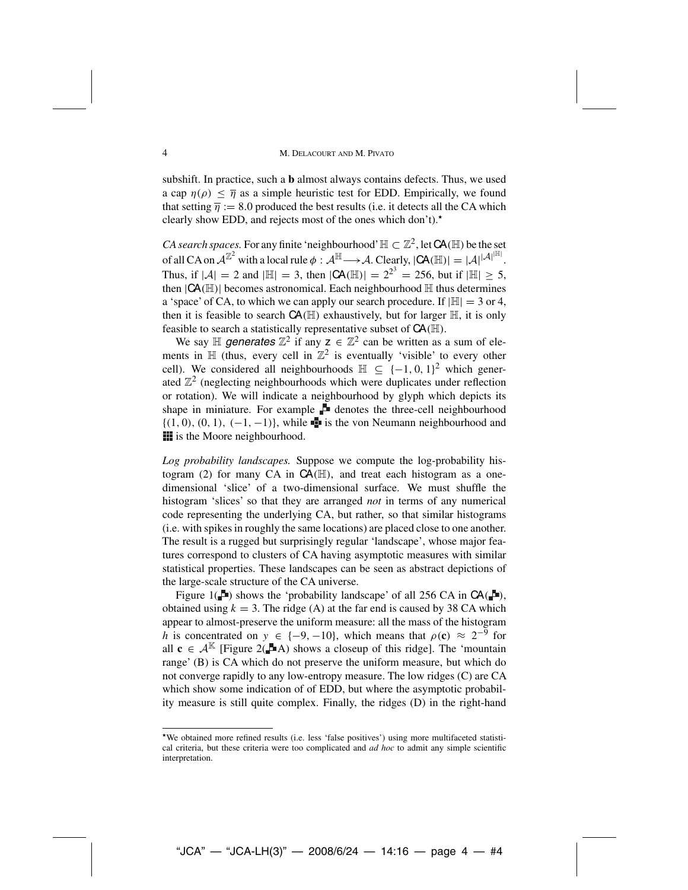#### 4 M. Delacourt and M. Pivato

subshift. In practice, such a **b** almost always contains defects. Thus, we used a cap  $n(\rho) < \overline{n}$  as a simple heuristic test for EDD. Empirically, we found that setting  $\overline{\eta} := 8.0$  produced the best results (i.e. it detects all the CA which clearly show EDD, and rejects most of the ones which don't).

*CA search spaces.* For any finite 'neighbourhood'  $\mathbb{H} \subset \mathbb{Z}^2$ , let  $CA(\mathbb{H})$  be the set of all CA on  $\mathcal{A}^{\mathbb{Z}^2}$  with a local rule  $\phi : \mathcal{A}^{\mathbb{H}} \longrightarrow \mathcal{A}$ . Clearly,  $|CA(\mathbb{H})| = |\mathcal{A}|^{|\mathcal{A}|^{|\mathbb{H}|}}$ .<br>Thus, if  $|A| = 2$  and  $|\mathbb{H}| = 2$ , then  $|CA(\mathbb{H})| = 2^{2^3} = 256$ , but if  $|\mathbb{H}| \ge 5$ . Thus, if  $|\mathcal{A}| = 2$  and  $|\mathbb{H}| = 3$ , then  $|\mathsf{CA}(\mathbb{H})| = 2^{2^3} = 256$ , but if  $|\mathbb{H}| \ge 5$ , then  $|\mathsf{CA}(\mathbb{H})|$  becomes astronomical. Each neighbourhood  $\mathbb{H}$  thus determines then  $|CA(\mathbb{H})|$  becomes astronomical. Each neighbourhood  $\mathbb H$  thus determines a 'space' of CA, to which we can apply our search procedure. If  $|\mathbb{H}| = 3$  or 4, then it is feasible to search  $CA(\mathbb{H})$  exhaustively, but for larger  $\mathbb{H}$ , it is only feasible to search a statistically representative subset of  $CA(\mathbb{H})$ .

We say  $\mathbb H$  *generates*  $\mathbb Z^2$  if any  $z \in \mathbb Z^2$  can be written as a sum of elements in  $\mathbb{H}$  (thus, every cell in  $\mathbb{Z}^2$  is eventually 'visible' to every other cell). We considered all neighbourhoods  $H \subseteq \{-1, 0, 1\}^2$  which generated  $\mathbb{Z}^2$  (neglecting neighbourhoods which were duplicates under reflection or rotation). We will indicate a neighbourhood by glyph which depicts its shape in miniature. For example  $\mathbb F$  denotes the three-cell neighbourhood  $\{(1, 0), (0, 1), (-1, -1)\}\$ , while  $\blacksquare$  is the von Neumann neighbourhood and **is the Moore neighbourhood.** 

*Log probability landscapes.* Suppose we compute the log-probability histogram (2) for many CA in  $CA(\mathbb{H})$ , and treat each histogram as a onedimensional 'slice' of a two-dimensional surface. We must shuffle the histogram 'slices' so that they are arranged *not* in terms of any numerical code representing the underlying CA, but rather, so that similar histograms (i.e. with spikes in roughly the same locations) are placed close to one another. The result is a rugged but surprisingly regular 'landscape', whose major features correspond to clusters of CA having asymptotic measures with similar statistical properties. These landscapes can be seen as abstract depictions of the large-scale structure of the CA universe.

Figure 1( $\Box$ ) shows the 'probability landscape' of all 256 CA in  $CA(\Box)$ , obtained using  $k = 3$ . The ridge (A) at the far end is caused by 38 CA which appear to almost-preserve the uniform measure: all the mass of the histogram h is concentrated on  $y \in \{-9, -10\}$ , which means that  $\rho(c) \approx 2^{-9}$  for all  $c \in A^{K}$  [Figure 2( $\blacksquare$ A) shows a closeup of this ridge]. The 'mountain range' (B) is CA which do not preserve the uniform measure, but which do not converge rapidly to any low-entropy measure. The low ridges (C) are CA which show some indication of of EDD, but where the asymptotic probability measure is still quite complex. Finally, the ridges (D) in the right-hand

We obtained more refined results (i.e. less 'false positives') using more multifaceted statistical criteria, but these criteria were too complicated and *ad hoc* to admit any simple scientific interpretation.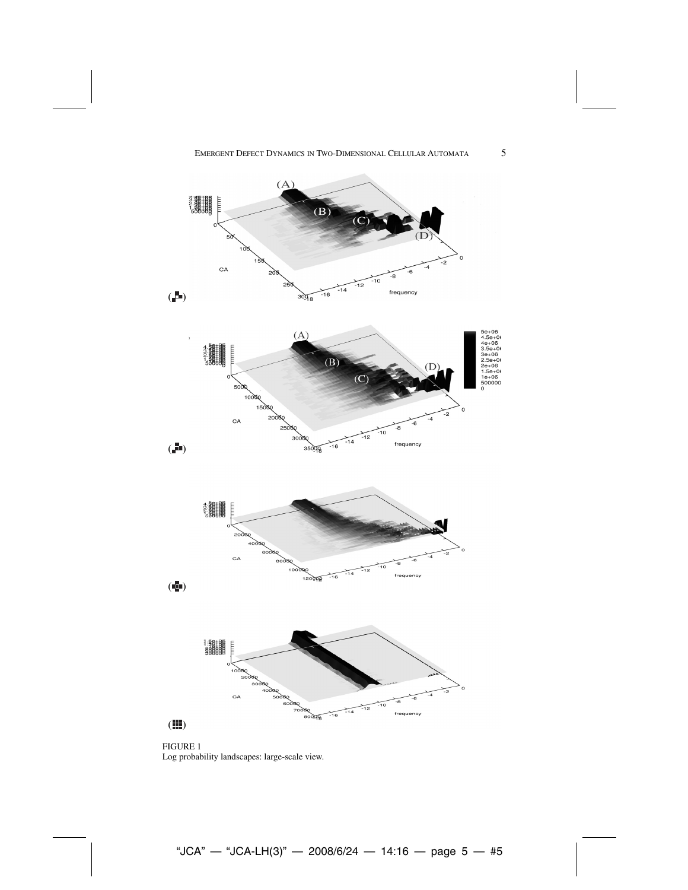



Emergent Defect Dynamics in Two-Dimensional Cellular Automata 5

 $(A)$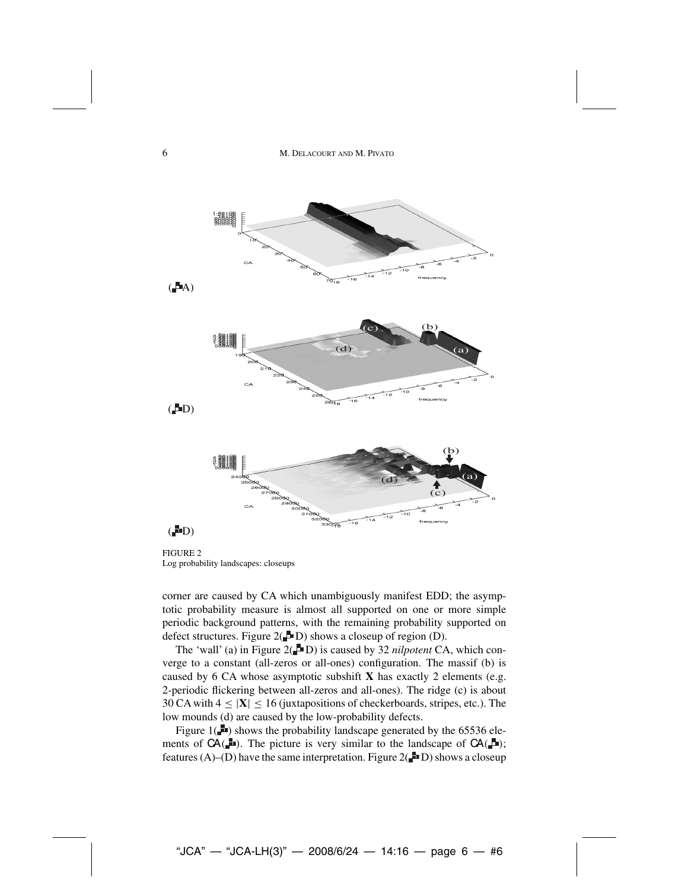

FIGURE 2 Log probability landscapes: closeups

corner are caused by CA which unambiguously manifest EDD; the asymptotic probability measure is almost all supported on one or more simple periodic background patterns, with the remaining probability supported on defect structures. Figure  $2($  D) shows a closeup of region (D).

The 'wall' (a) in Figure  $2($  D) is caused by 32 *nilpotent* CA, which converge to a constant (all-zeros or all-ones) configuration. The massif (b) is caused by 6 CA whose asymptotic subshift **X** has exactly 2 elements (e.g. 2-periodic flickering between all-zeros and all-ones). The ridge (c) is about 30 CA with  $4 \leq |\mathbf{X}| \leq 16$  (juxtapositions of checkerboards, stripes, etc.). The low mounds (d) are caused by the low-probability defects.

Figure  $1(\blacksquare)$  shows the probability landscape generated by the 65536 elements of  $CA(\blacksquare)$ . The picture is very similar to the landscape of  $CA(\blacksquare)$ ; features (A)–(D) have the same interpretation. Figure  $2(\blacksquare$  D) shows a closeup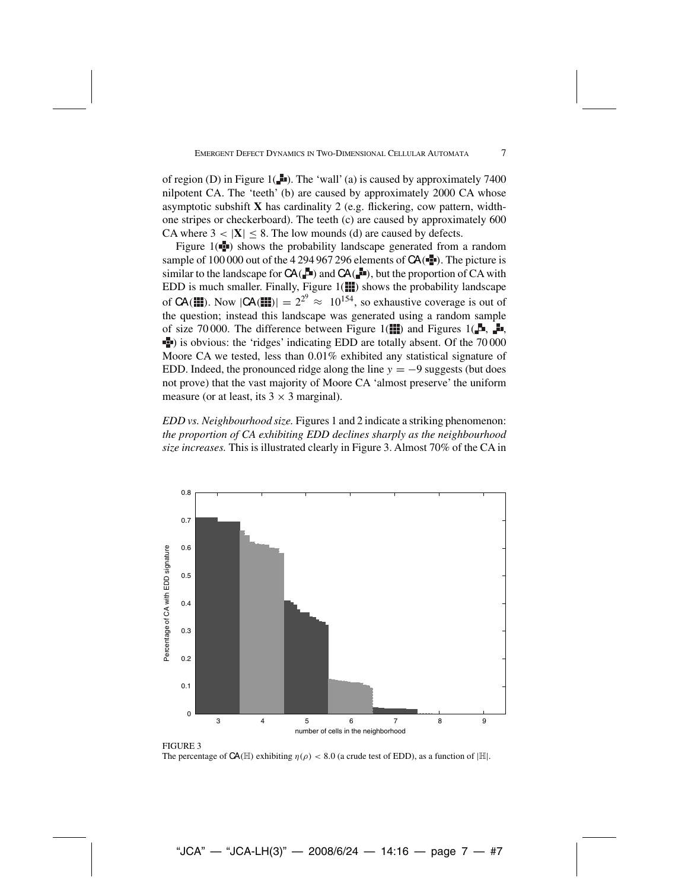of region (D) in Figure  $1(-1)$ . The 'wall' (a) is caused by approximately 7400 nilpotent CA. The 'teeth' (b) are caused by approximately 2000 CA whose asymptotic subshift **X** has cardinality 2 (e.g. flickering, cow pattern, widthone stripes or checkerboard). The teeth (c) are caused by approximately 600 CA where  $3 < |X| \le 8$ . The low mounds (d) are caused by defects.

Figure  $1(\blacksquare)$  shows the probability landscape generated from a random sample of 100 000 out of the 4 294 967 296 elements of  $CA(\blacksquare)$ . The picture is similar to the landscape for  $CA(\Box n)$  and  $CA(\Box n)$ , but the proportion of CA with EDD is much smaller. Finally, Figure  $1($  $)$  shows the probability landscape of **CA(III)**. Now  $|CA(III)| = 2^{2^9} \approx 10^{154}$ , so exhaustive coverage is out of the question: instead this landscape was generated using a random sample the question; instead this landscape was generated using a random sample of size 70 000. The difference between Figure 1( $\blacksquare$ ) and Figures 1( $\blacksquare$ ,  $\blacksquare$ , ) is obvious: the 'ridges' indicating EDD are totally absent. Of the 70 000 Moore CA we tested, less than 0.01% exhibited any statistical signature of EDD. Indeed, the pronounced ridge along the line  $y = -9$  suggests (but does not prove) that the vast majority of Moore CA 'almost preserve' the uniform measure (or at least, its  $3 \times 3$  marginal).

*EDD vs. Neighbourhood size.* Figures 1 and 2 indicate a striking phenomenon: *the proportion of CA exhibiting EDD declines sharply as the neighbourhood size increases.* This is illustrated clearly in Figure 3. Almost 70% of the CA in



FIGURE 3 The percentage of  $CA(\mathbb{H})$  exhibiting  $\eta(\rho) < 8.0$  (a crude test of EDD), as a function of  $|\mathbb{H}|$ .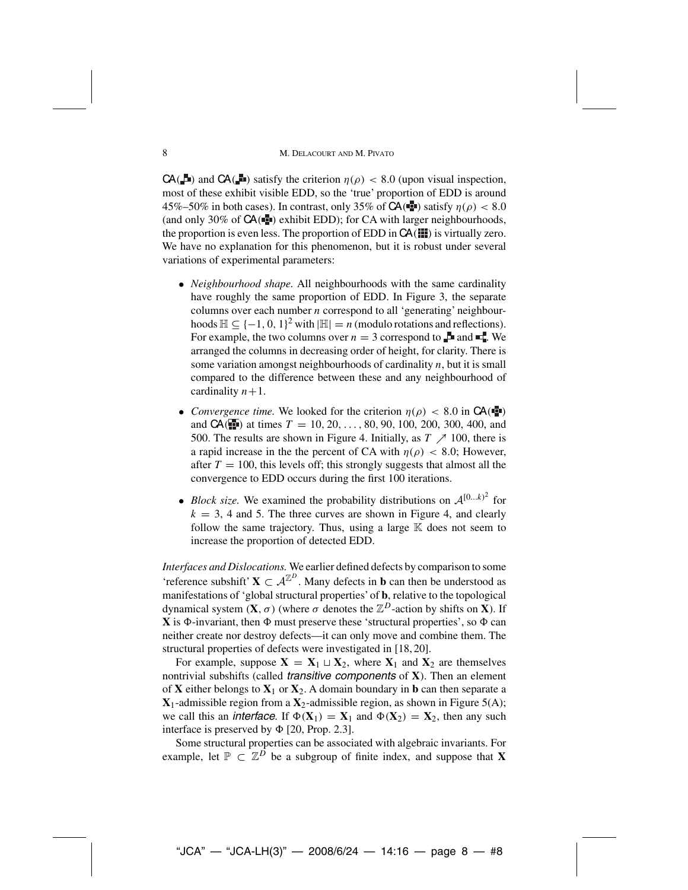### 8 M. DELACOURT AND M. PIVATO

 $CA(\Box)$  and  $CA(\Box)$  satisfy the criterion  $\eta(\rho) < 8.0$  (upon visual inspection, most of these exhibit visible EDD, so the 'true' proportion of EDD is around 45%–50% in both cases). In contrast, only 35% of  $CA(\blacksquare)$  satisfy  $\eta(\rho) < 8.0$ (and only 30% of  $CA(\mathbb{R})$  exhibit EDD); for CA with larger neighbourhoods, the proportion is even less. The proportion of EDD in  $CA($  ) is virtually zero. We have no explanation for this phenomenon, but it is robust under several variations of experimental parameters:

- *Neighbourhood shape.* All neighbourhoods with the same cardinality have roughly the same proportion of EDD. In Figure 3, the separate columns over each number  $n$  correspond to all 'generating' neighbourhoods  $\mathbb{H} \subseteq \{-1, 0, 1\}^2$  with  $|\mathbb{H}| = n$  (modulo rotations and reflections). For example, the two columns over  $n = 3$  correspond to  $\blacksquare$  and  $\blacksquare$ . We arranged the columns in decreasing order of height, for clarity. There is some variation amongst neighbourhoods of cardinality  $n$ , but it is small compared to the difference between these and any neighbourhood of cardinality  $n+1$ .
- *Convergence time.* We looked for the criterion  $\eta(\rho) < 8.0$  in  $CA(\blacksquare)$ and  $CA($  ) at times  $T = 10, 20, ..., 80, 90, 100, 200, 300, 400,$  and 500. The results are shown in Figure 4. Initially, as  $T \nearrow 100$ , there is a rapid increase in the the percent of CA with  $\eta(\rho) < 8.0$ ; However, after  $T = 100$ , this levels off; this strongly suggests that almost all the convergence to EDD occurs during the first 100 iterations.
- *Block size*. We examined the probability distributions on  $A^{[0...k)^2}$  for  $k = 3$ , 4 and 5. The three curves are shown in Figure 4, and clearly follow the same trajectory. Thus, using a large  $K$  does not seem to increase the proportion of detected EDD.

*Interfaces and Dislocations.* We earlier defined defects by comparison to some 'reference subshift' **X**  $\subset A^{\mathbb{Z}^D}$ . Many defects in **b** can then be understood as manifestations of 'global structural properties' of **b**, relative to the topological dynamical system  $(X, \sigma)$  (where  $\sigma$  denotes the  $\mathbb{Z}^D$ -action by shifts on **X**). If  $X$  is  $\Phi$ -invariant, then  $\Phi$  must preserve these 'structural properties', so  $\Phi$  can neither create nor destroy defects—it can only move and combine them. The structural properties of defects were investigated in [18, 20].

For example, suppose  $X = X_1 \sqcup X_2$ , where  $X_1$  and  $X_2$  are themselves nontrivial subshifts (called *transitive components* of **X**). Then an element of **X** either belongs to  $X_1$  or  $X_2$ . A domain boundary in **b** can then separate a  $X_1$ -admissible region from a  $X_2$ -admissible region, as shown in Figure 5(A); we call this an *interface*. If  $\Phi(X_1) = X_1$  and  $\Phi(X_2) = X_2$ , then any such interface is preserved by  $\Phi$  [20, Prop. 2.3].

Some structural properties can be associated with algebraic invariants. For example, let  $\mathbb{P} \subset \mathbb{Z}^D$  be a subgroup of finite index, and suppose that **X**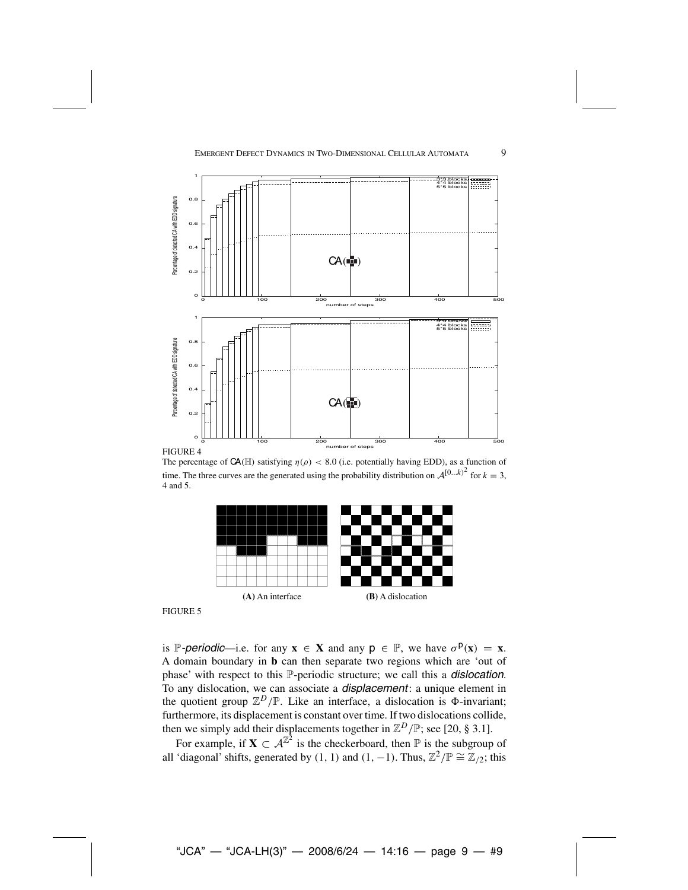

The percentage of  $CA(\mathbb{H})$  satisfying  $\eta(\rho) < 8.0$  (i.e. potentially having EDD), as a function of time. The three curves are the generated using the probability distribution on  $\mathcal{A}^{[0...k)^2}$  for  $k = 3$ , 4 and 5.



FIGURE 5

is P-periodic—i.e. for any  $x \in X$  and any  $p \in P$ , we have  $\sigma^p(x) = x$ . A domain boundary in **b** can then separate two regions which are 'out of phase' with respect to this P-periodic structure; we call this a *dislocation*. To any dislocation, we can associate a *displacement*: a unique element in the quotient group  $\mathbb{Z}^D/\mathbb{P}$ . Like an interface, a dislocation is  $\Phi$ -invariant; furthermore, its displacement is constant over time. If two dislocations collide, then we simply add their displacements together in  $\mathbb{Z}^D/\mathbb{P}$ ; see [20, § 3.1].<br>For example, if  $\mathbf{Y} \in \mathbb{Z}^{\mathbb{Z}^2}$  is the shackerhoord, then  $\mathbb{P}$  is the subgroup

For example, if  $X \subset \mathcal{A}^{\mathbb{Z}^2}$  is the checkerboard, then  $\mathbb P$  is the subgroup of all 'diagonal' shifts, generated by (1, 1) and (1, −1). Thus,  $\mathbb{Z}^2/\mathbb{P} \cong \mathbb{Z}_{/2}$ ; this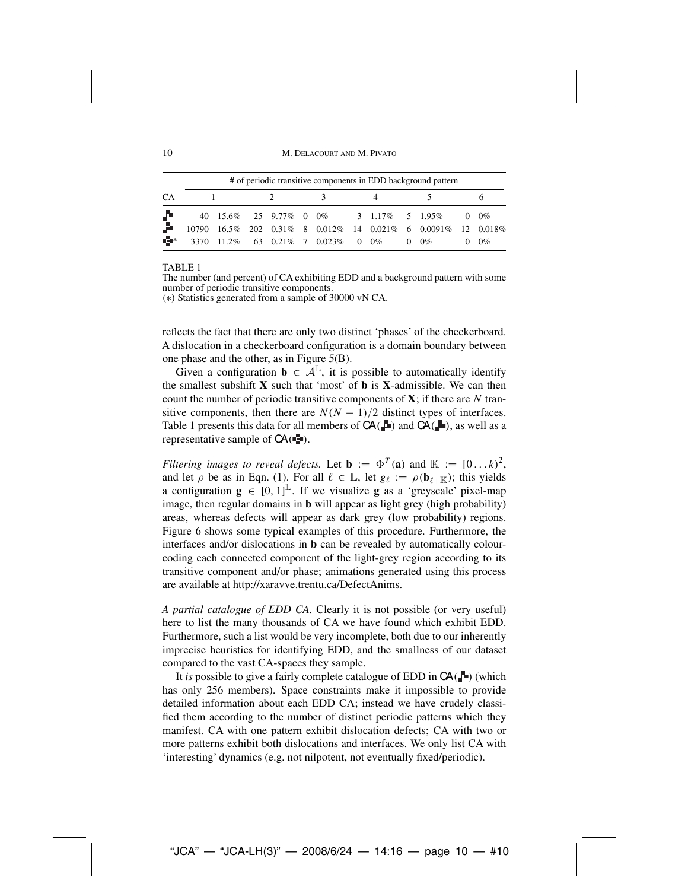10 M. DELACOURT AND M. PIVATO

|    | # of periodic transitive components in EDD background pattern |  |  |  |  |                                    |  |  |  |                                                        |            |       |
|----|---------------------------------------------------------------|--|--|--|--|------------------------------------|--|--|--|--------------------------------------------------------|------------|-------|
| CA |                                                               |  |  |  |  |                                    |  |  |  |                                                        |            |       |
| Д. |                                                               |  |  |  |  |                                    |  |  |  | 40 15.6% 25 9.77% 0 0% 3 1.17% 5 1.95%                 | $0 \t 0\%$ |       |
| A  | 10790                                                         |  |  |  |  |                                    |  |  |  | 16.5% 202 0.31% 8 0.012% 14 0.021% 6 0.0091% 12 0.018% |            |       |
| d. | 3370                                                          |  |  |  |  | $11.2\%$ 63 0.21\% 7 0.023\% 0 0\% |  |  |  | $0 \t 0\%$                                             |            | $0\%$ |

#### TABLE 1

The number (and percent) of CA exhibiting EDD and a background pattern with some number of periodic transitive components.

(∗) Statistics generated from a sample of 30000 vN CA.

reflects the fact that there are only two distinct 'phases' of the checkerboard. A dislocation in a checkerboard configuration is a domain boundary between one phase and the other, as in Figure 5(B).

Given a configuration  $\mathbf{b} \in \mathcal{A}^{\mathbb{L}}$ , it is possible to automatically identify the smallest subshift **X** such that 'most' of **b** is **X**-admissible. We can then count the number of periodic transitive components of  $X$ ; if there are  $N$  transitive components, then there are  $N(N - 1)/2$  distinct types of interfaces. Table 1 presents this data for all members of  $CA(\Box u)$  and  $CA(\Box u)$ , as well as a representative sample of  $CA(\blacksquare)$ .

*Filtering images to reveal defects.* Let **b** :=  $\Phi^T(\mathbf{a})$  and  $\mathbb{K}$  :=  $[0 \dots k)^2$ , and let  $\rho$  be as in Eqn. (1). For all  $\ell \in \mathbb{L}$ , let  $g_{\ell} := \rho(\mathbf{b}_{\ell+\mathbb{K}})$ ; this yields a configuration  $\mathbf{g} \in [0, 1]^{\mathbb{L}}$ . If we visualize **g** as a 'greyscale' pixel-map<br>image then regular domains in **b** will appear as light grey (bigh probability) image, then regular domains in **b** will appear as light grey (high probability) areas, whereas defects will appear as dark grey (low probability) regions. Figure 6 shows some typical examples of this procedure. Furthermore, the interfaces and/or dislocations in **b** can be revealed by automatically colourcoding each connected component of the light-grey region according to its transitive component and/or phase; animations generated using this process are available at http://xaravve.trentu.ca/DefectAnims.

*A partial catalogue of EDD CA.* Clearly it is not possible (or very useful) here to list the many thousands of CA we have found which exhibit EDD. Furthermore, such a list would be very incomplete, both due to our inherently imprecise heuristics for identifying EDD, and the smallness of our dataset compared to the vast CA-spaces they sample.

It *is* possible to give a fairly complete catalogue of EDD in  $CA(\blacksquare)$  (which has only 256 members). Space constraints make it impossible to provide detailed information about each EDD CA; instead we have crudely classified them according to the number of distinct periodic patterns which they manifest. CA with one pattern exhibit dislocation defects; CA with two or more patterns exhibit both dislocations and interfaces. We only list CA with 'interesting' dynamics (e.g. not nilpotent, not eventually fixed/periodic).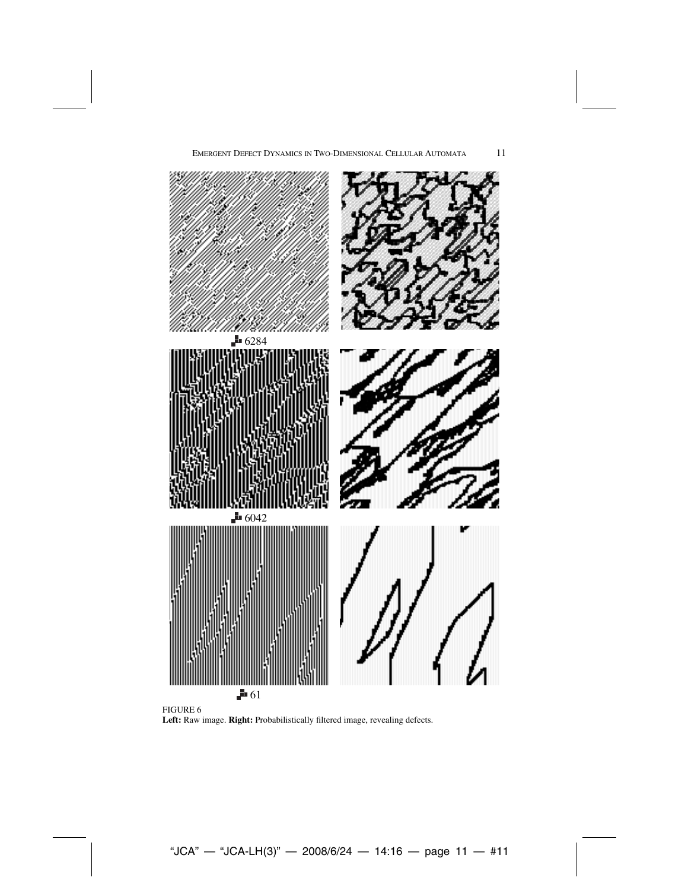



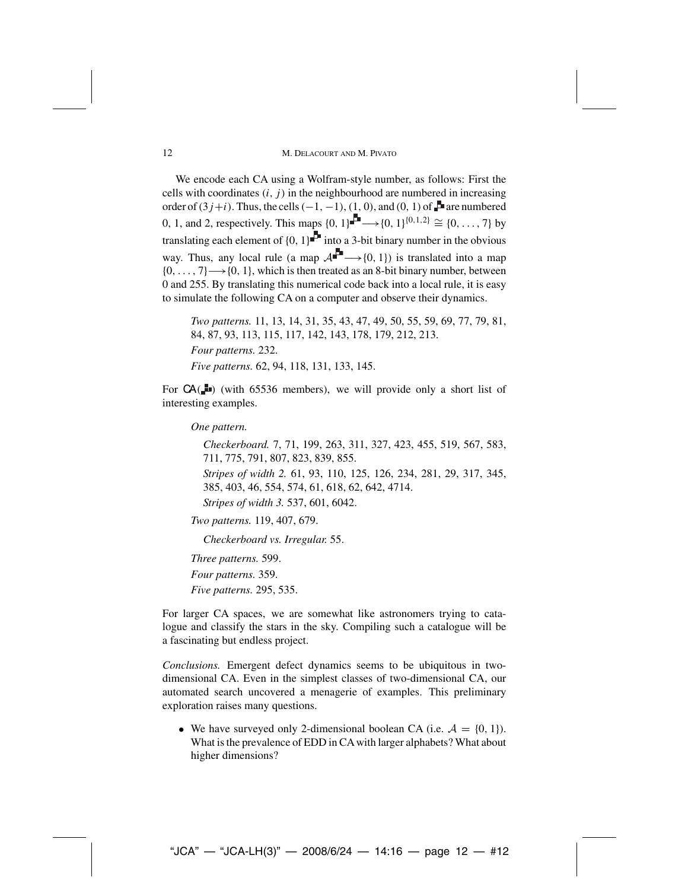### 12 M. DELACOURT AND M. PIVATO

We encode each CA using a Wolfram-style number, as follows: First the cells with coordinates  $(i, j)$  in the neighbourhood are numbered in increasing order of  $(3j+i)$ . Thus, the cells  $(-1, -1)$ ,  $(1, 0)$ , and  $(0, 1)$  of  $\blacksquare$  are numbered 0, 1, and 2, respectively. This maps  $\{0, 1\}$  <del>■</del> →  $\{0, 1\}^{\{0, 1, 2\}} \cong \{0, ..., 7\}$  by translating each element of  $\{0, 1\}$  into a 3-bit binary number in the obvious way. Thus, any local rule (a map  $A^{\perp} \longrightarrow \{0, 1\}$ ) is translated into a map  ${0, \ldots, 7} \rightarrow {0, 1}$ , which is then treated as an 8-bit binary number, between 0 and 255. By translating this numerical code back into a local rule, it is easy to simulate the following CA on a computer and observe their dynamics.

*Two patterns.* 11, 13, 14, 31, 35, 43, 47, 49, 50, 55, 59, 69, 77, 79, 81, 84, 87, 93, 113, 115, 117, 142, 143, 178, 179, 212, 213. *Four patterns.* 232. *Five patterns.* 62, 94, 118, 131, 133, 145.

For  $CA(\blacksquare)$  (with 65536 members), we will provide only a short list of interesting examples.

#### *One pattern.*

*Checkerboard.* 7, 71, 199, 263, 311, 327, 423, 455, 519, 567, 583, 711, 775, 791, 807, 823, 839, 855. *Stripes of width 2.* 61, 93, 110, 125, 126, 234, 281, 29, 317, 345, 385, 403, 46, 554, 574, 61, 618, 62, 642, 4714. *Stripes of width 3.* 537, 601, 6042.

```
Two patterns. 119, 407, 679.
```
*Checkerboard vs. Irregular.* 55.

*Three patterns.* 599. *Four patterns.* 359. *Five patterns.* 295, 535.

For larger CA spaces, we are somewhat like astronomers trying to catalogue and classify the stars in the sky. Compiling such a catalogue will be a fascinating but endless project.

*Conclusions.* Emergent defect dynamics seems to be ubiquitous in twodimensional CA. Even in the simplest classes of two-dimensional CA, our automated search uncovered a menagerie of examples. This preliminary exploration raises many questions.

• We have surveyed only 2-dimensional boolean CA (i.e.  $A = \{0, 1\}$ ). What is the prevalence of EDD in CAwith larger alphabets? What about higher dimensions?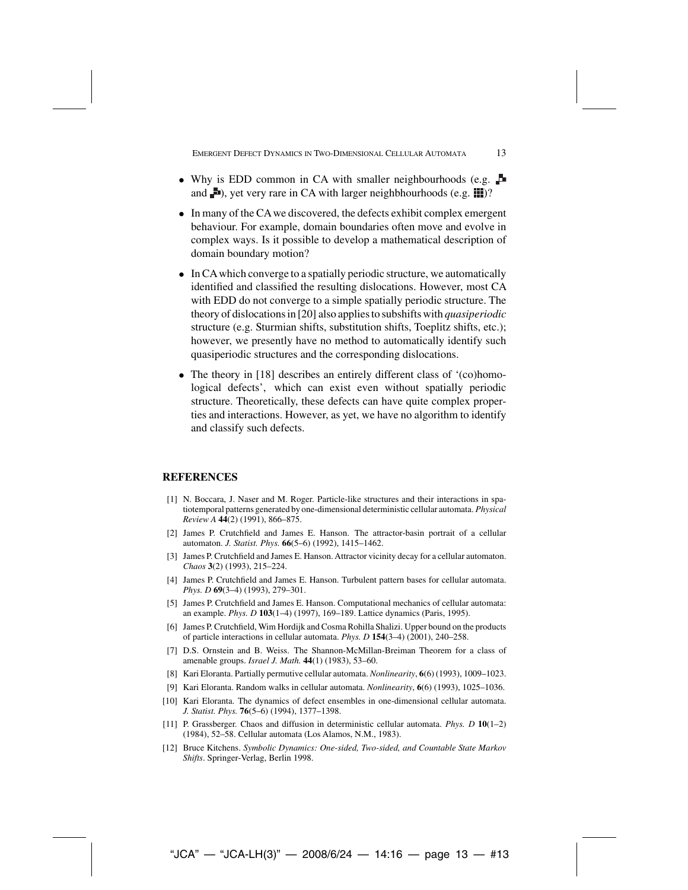Emergent Defect Dynamics in Two-Dimensional Cellular Automata 13

- Why is EDD common in CA with smaller neighbourhoods (e.g. and  $\Box$ ), yet very rare in CA with larger neighbhourhoods (e.g.  $\Box$ )?
- In many of the CA we discovered, the defects exhibit complex emergent behaviour. For example, domain boundaries often move and evolve in complex ways. Is it possible to develop a mathematical description of domain boundary motion?
- In CAwhich converge to a spatially periodic structure, we automatically identified and classified the resulting dislocations. However, most CA with EDD do not converge to a simple spatially periodic structure. The theory of dislocations in [20] also applies to subshifts with *quasiperiodic* structure (e.g. Sturmian shifts, substitution shifts, Toeplitz shifts, etc.); however, we presently have no method to automatically identify such quasiperiodic structures and the corresponding dislocations.
- The theory in [18] describes an entirely different class of '(co)homological defects', which can exist even without spatially periodic structure. Theoretically, these defects can have quite complex properties and interactions. However, as yet, we have no algorithm to identify and classify such defects.

### **REFERENCES**

- [1] N. Boccara, J. Naser and M. Roger. Particle-like structures and their interactions in spatiotemporal patterns generated by one-dimensional deterministic cellular automata. *Physical Review A* **44**(2) (1991), 866–875.
- [2] James P. Crutchfield and James E. Hanson. The attractor-basin portrait of a cellular automaton. *J. Statist. Phys.* **66**(5–6) (1992), 1415–1462.
- [3] James P. Crutchfield and James E. Hanson. Attractor vicinity decay for a cellular automaton. *Chaos* **3**(2) (1993), 215–224.
- [4] James P. Crutchfield and James E. Hanson. Turbulent pattern bases for cellular automata. *Phys. D* **69**(3–4) (1993), 279–301.
- [5] James P. Crutchfield and James E. Hanson. Computational mechanics of cellular automata: an example. *Phys. D* **103**(1–4) (1997), 169–189. Lattice dynamics (Paris, 1995).
- [6] James P. Crutchfield, Wim Hordijk and Cosma Rohilla Shalizi. Upper bound on the products of particle interactions in cellular automata. *Phys. D* **154**(3–4) (2001), 240–258.
- [7] D.S. Ornstein and B. Weiss. The Shannon-McMillan-Breiman Theorem for a class of amenable groups. *Israel J. Math.* **44**(1) (1983), 53–60.
- [8] Kari Eloranta. Partially permutive cellular automata. *Nonlinearity*, **6**(6) (1993), 1009–1023.
- [9] Kari Eloranta. Random walks in cellular automata. *Nonlinearity*, **6**(6) (1993), 1025–1036.
- [10] Kari Eloranta. The dynamics of defect ensembles in one-dimensional cellular automata. *J. Statist. Phys.* **76**(5–6) (1994), 1377–1398.
- [11] P. Grassberger. Chaos and diffusion in deterministic cellular automata. *Phys. D* **10**(1–2) (1984), 52–58. Cellular automata (Los Alamos, N.M., 1983).
- [12] Bruce Kitchens. *Symbolic Dynamics: One-sided, Two-sided, and Countable State Markov Shifts*. Springer-Verlag, Berlin 1998.